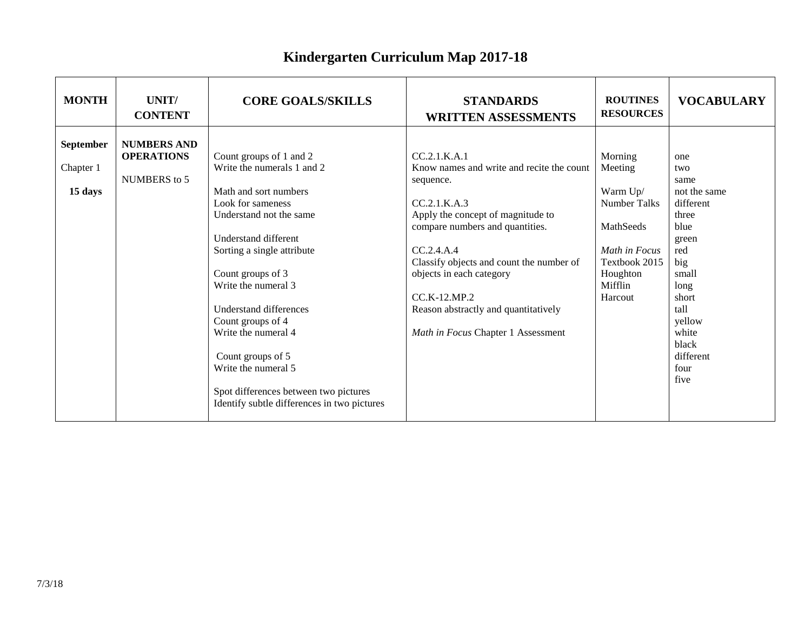## **Kindergarten Curriculum Map 2017-18**

| <b>MONTH</b>                      | UNIT/<br><b>CONTENT</b>                                 | <b>CORE GOALS/SKILLS</b>                                                                                                                                                                                                                                                                                                                                                                                                                          | <b>STANDARDS</b><br><b>WRITTEN ASSESSMENTS</b>                                                                                                                                                                                                                                                                                                       | <b>ROUTINES</b><br><b>RESOURCES</b>                                                                                                    | <b>VOCABULARY</b>                                                                                                                                                                  |
|-----------------------------------|---------------------------------------------------------|---------------------------------------------------------------------------------------------------------------------------------------------------------------------------------------------------------------------------------------------------------------------------------------------------------------------------------------------------------------------------------------------------------------------------------------------------|------------------------------------------------------------------------------------------------------------------------------------------------------------------------------------------------------------------------------------------------------------------------------------------------------------------------------------------------------|----------------------------------------------------------------------------------------------------------------------------------------|------------------------------------------------------------------------------------------------------------------------------------------------------------------------------------|
| September<br>Chapter 1<br>15 days | <b>NUMBERS AND</b><br><b>OPERATIONS</b><br>NUMBERS to 5 | Count groups of 1 and 2<br>Write the numerals 1 and 2<br>Math and sort numbers<br>Look for sameness<br>Understand not the same<br>Understand different<br>Sorting a single attribute<br>Count groups of 3<br>Write the numeral 3<br><b>Understand differences</b><br>Count groups of 4<br>Write the numeral 4<br>Count groups of 5<br>Write the numeral 5<br>Spot differences between two pictures<br>Identify subtle differences in two pictures | CC.2.1.K.A.1<br>Know names and write and recite the count<br>sequence.<br>CC.2.1.K.A.3<br>Apply the concept of magnitude to<br>compare numbers and quantities.<br>CC.2.4.A.4<br>Classify objects and count the number of<br>objects in each category<br>$CC_K-12_MP.2$<br>Reason abstractly and quantitatively<br>Math in Focus Chapter 1 Assessment | Morning<br>Meeting<br>Warm Up/<br><b>Number Talks</b><br>MathSeeds<br>Math in Focus<br>Textbook 2015<br>Houghton<br>Mifflin<br>Harcout | one<br>two<br>same<br>not the same<br>different<br>three<br>blue<br>green<br>red<br>big<br>small<br>long<br>short<br>tall<br>yellow<br>white<br>black<br>different<br>four<br>five |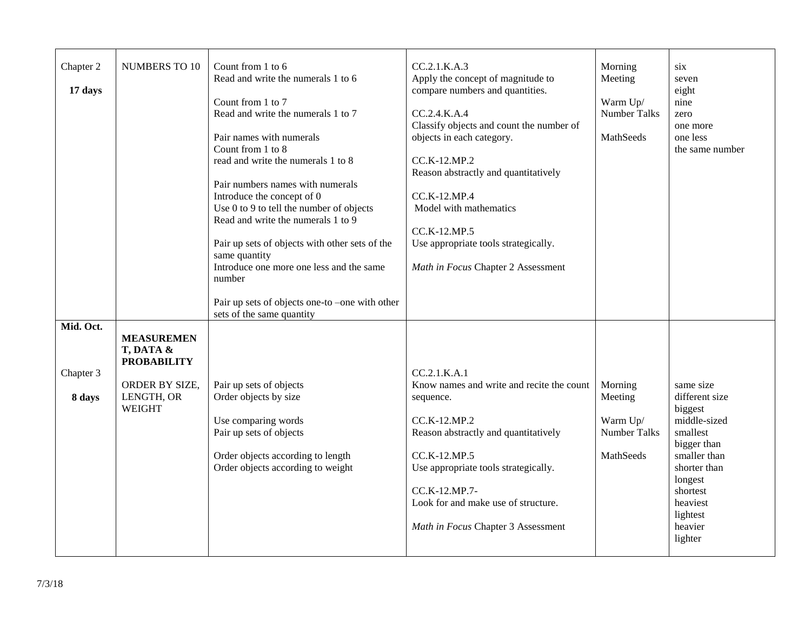| Chapter 2<br>17 days             | <b>NUMBERS TO 10</b>                                                                                  | Count from 1 to 6<br>Read and write the numerals 1 to 6<br>Count from 1 to 7<br>Read and write the numerals 1 to 7<br>Pair names with numerals<br>Count from 1 to 8<br>read and write the numerals 1 to 8<br>Pair numbers names with numerals<br>Introduce the concept of 0<br>Use 0 to 9 to tell the number of objects<br>Read and write the numerals 1 to 9<br>Pair up sets of objects with other sets of the<br>same quantity<br>Introduce one more one less and the same<br>number<br>Pair up sets of objects one-to -one with other<br>sets of the same quantity | CC.2.1.K.A.3<br>Apply the concept of magnitude to<br>compare numbers and quantities.<br>CC.2.4.K.A.4<br>Classify objects and count the number of<br>objects in each category.<br>CC.K-12.MP.2<br>Reason abstractly and quantitatively<br>CC.K-12.MP.4<br>Model with mathematics<br>CC.K-12.MP.5<br>Use appropriate tools strategically.<br>Math in Focus Chapter 2 Assessment | Morning<br>Meeting<br>Warm Up/<br><b>Number Talks</b><br>MathSeeds | six<br>seven<br>eight<br>nine<br>zero<br>one more<br>one less<br>the same number                                                                                                       |
|----------------------------------|-------------------------------------------------------------------------------------------------------|-----------------------------------------------------------------------------------------------------------------------------------------------------------------------------------------------------------------------------------------------------------------------------------------------------------------------------------------------------------------------------------------------------------------------------------------------------------------------------------------------------------------------------------------------------------------------|-------------------------------------------------------------------------------------------------------------------------------------------------------------------------------------------------------------------------------------------------------------------------------------------------------------------------------------------------------------------------------|--------------------------------------------------------------------|----------------------------------------------------------------------------------------------------------------------------------------------------------------------------------------|
| Mid. Oct.<br>Chapter 3<br>8 days | <b>MEASUREMEN</b><br>T, DATA &<br><b>PROBABILITY</b><br>ORDER BY SIZE,<br>LENGTH, OR<br><b>WEIGHT</b> | Pair up sets of objects<br>Order objects by size<br>Use comparing words<br>Pair up sets of objects<br>Order objects according to length<br>Order objects according to weight                                                                                                                                                                                                                                                                                                                                                                                          | CC.2.1.K.A.1<br>Know names and write and recite the count<br>sequence.<br>CC.K-12.MP.2<br>Reason abstractly and quantitatively<br>CC.K-12.MP.5<br>Use appropriate tools strategically.<br>CC.K-12.MP.7-<br>Look for and make use of structure.<br>Math in Focus Chapter 3 Assessment                                                                                          | Morning<br>Meeting<br>Warm Up/<br><b>Number Talks</b><br>MathSeeds | same size<br>different size<br>biggest<br>middle-sized<br>smallest<br>bigger than<br>smaller than<br>shorter than<br>longest<br>shortest<br>heaviest<br>lightest<br>heavier<br>lighter |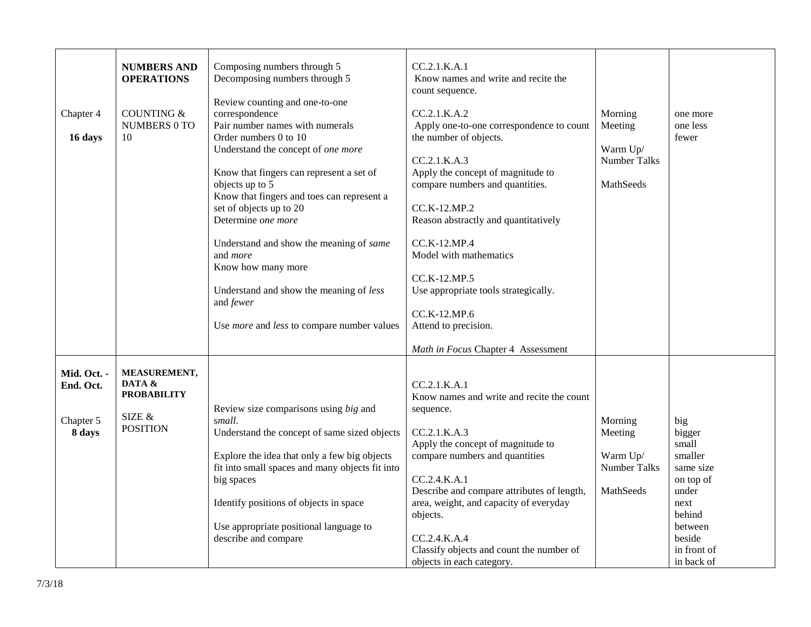| Chapter 4<br>16 days                            | <b>NUMBERS AND</b><br><b>OPERATIONS</b><br><b>COUNTING &amp;</b><br><b>NUMBERS 0 TO</b><br>10 | Composing numbers through 5<br>Decomposing numbers through 5<br>Review counting and one-to-one<br>correspondence<br>Pair number names with numerals<br>Order numbers 0 to 10<br>Understand the concept of one more<br>Know that fingers can represent a set of<br>objects up to $\overline{5}$<br>Know that fingers and toes can represent a<br>set of objects up to 20<br>Determine one more<br>Understand and show the meaning of same<br>and <i>more</i><br>Know how many more<br>Understand and show the meaning of less<br>and fewer<br>Use <i>more</i> and less to compare number values | CC.2.1.K.A.1<br>Know names and write and recite the<br>count sequence.<br>CC.2.1.K.A.2<br>Apply one-to-one correspondence to count<br>the number of objects.<br>CC.2.1.K.A.3<br>Apply the concept of magnitude to<br>compare numbers and quantities.<br>CC.K-12.MP.2<br>Reason abstractly and quantitatively<br>CC.K-12.MP.4<br>Model with mathematics<br>CC.K-12.MP.5<br>Use appropriate tools strategically.<br>CC.K-12.MP.6<br>Attend to precision.<br>Math in Focus Chapter 4 Assessment | Morning<br>Meeting<br>Warm Up/<br><b>Number Talks</b><br>MathSeeds | one more<br>one less<br>fewer                                                                                                            |
|-------------------------------------------------|-----------------------------------------------------------------------------------------------|------------------------------------------------------------------------------------------------------------------------------------------------------------------------------------------------------------------------------------------------------------------------------------------------------------------------------------------------------------------------------------------------------------------------------------------------------------------------------------------------------------------------------------------------------------------------------------------------|----------------------------------------------------------------------------------------------------------------------------------------------------------------------------------------------------------------------------------------------------------------------------------------------------------------------------------------------------------------------------------------------------------------------------------------------------------------------------------------------|--------------------------------------------------------------------|------------------------------------------------------------------------------------------------------------------------------------------|
| Mid. Oct. -<br>End. Oct.<br>Chapter 5<br>8 days | MEASUREMENT,<br>DATA &<br><b>PROBABILITY</b><br>SIZE $\&$<br><b>POSITION</b>                  | Review size comparisons using big and<br>small.<br>Understand the concept of same sized objects<br>Explore the idea that only a few big objects<br>fit into small spaces and many objects fit into<br>big spaces<br>Identify positions of objects in space<br>Use appropriate positional language to<br>describe and compare                                                                                                                                                                                                                                                                   | CC.2.1.K.A.1<br>Know names and write and recite the count<br>sequence.<br>CC.2.1.K.A.3<br>Apply the concept of magnitude to<br>compare numbers and quantities<br>CC.2.4.K.A.1<br>Describe and compare attributes of length,<br>area, weight, and capacity of everyday<br>objects.<br>CC.2.4.K.A.4<br>Classify objects and count the number of<br>objects in each category.                                                                                                                   | Morning<br>Meeting<br>Warm Up/<br>Number Talks<br>MathSeeds        | big<br>bigger<br>small<br>smaller<br>same size<br>on top of<br>under<br>next<br>behind<br>between<br>beside<br>in front of<br>in back of |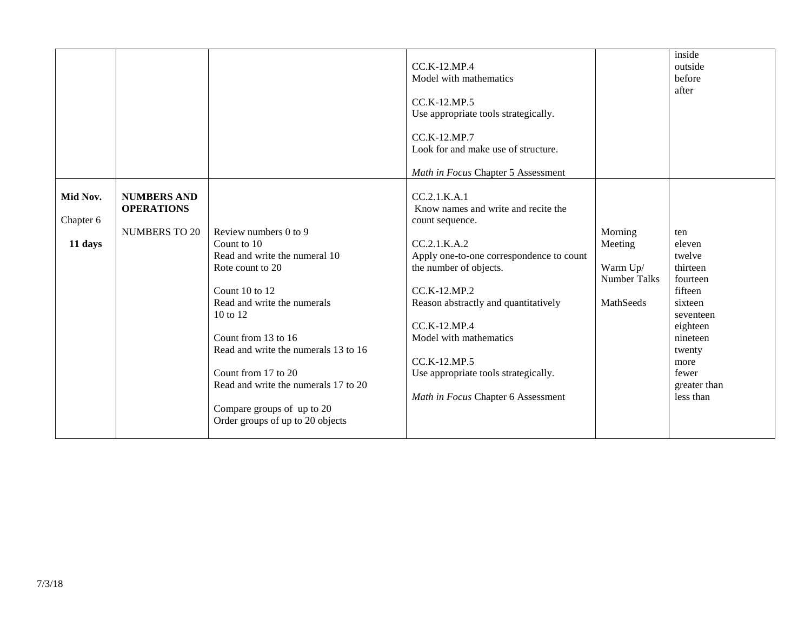|                                  |                                                                 |                                                                                                                                                                                                                                                                                                                                                        | CC.K-12.MP.4<br>Model with mathematics<br>$CC_K-12_MP_5$<br>Use appropriate tools strategically.<br>CC.K-12.MP.7<br>Look for and make use of structure.<br>Math in Focus Chapter 5 Assessment                                                                                                                                                                |                                                                    | inside<br>outside<br>before<br>after                                                                                                                               |
|----------------------------------|-----------------------------------------------------------------|--------------------------------------------------------------------------------------------------------------------------------------------------------------------------------------------------------------------------------------------------------------------------------------------------------------------------------------------------------|--------------------------------------------------------------------------------------------------------------------------------------------------------------------------------------------------------------------------------------------------------------------------------------------------------------------------------------------------------------|--------------------------------------------------------------------|--------------------------------------------------------------------------------------------------------------------------------------------------------------------|
| Mid Nov.<br>Chapter 6<br>11 days | <b>NUMBERS AND</b><br><b>OPERATIONS</b><br><b>NUMBERS TO 20</b> | Review numbers 0 to 9<br>Count to 10<br>Read and write the numeral 10<br>Rote count to 20<br>Count 10 to 12<br>Read and write the numerals<br>10 to 12<br>Count from 13 to 16<br>Read and write the numerals 13 to 16<br>Count from 17 to 20<br>Read and write the numerals 17 to 20<br>Compare groups of up to 20<br>Order groups of up to 20 objects | CC.2.1.K.A.1<br>Know names and write and recite the<br>count sequence.<br>CC.2.1.K.A.2<br>Apply one-to-one correspondence to count<br>the number of objects.<br>CC.K-12.MP.2<br>Reason abstractly and quantitatively<br>CC.K-12.MP.4<br>Model with mathematics<br>CC.K-12.MP.5<br>Use appropriate tools strategically.<br>Math in Focus Chapter 6 Assessment | Morning<br>Meeting<br>Warm Up/<br><b>Number Talks</b><br>MathSeeds | ten<br>eleven<br>twelve<br>thirteen<br>fourteen<br>fifteen<br>sixteen<br>seventeen<br>eighteen<br>nineteen<br>twenty<br>more<br>fewer<br>greater than<br>less than |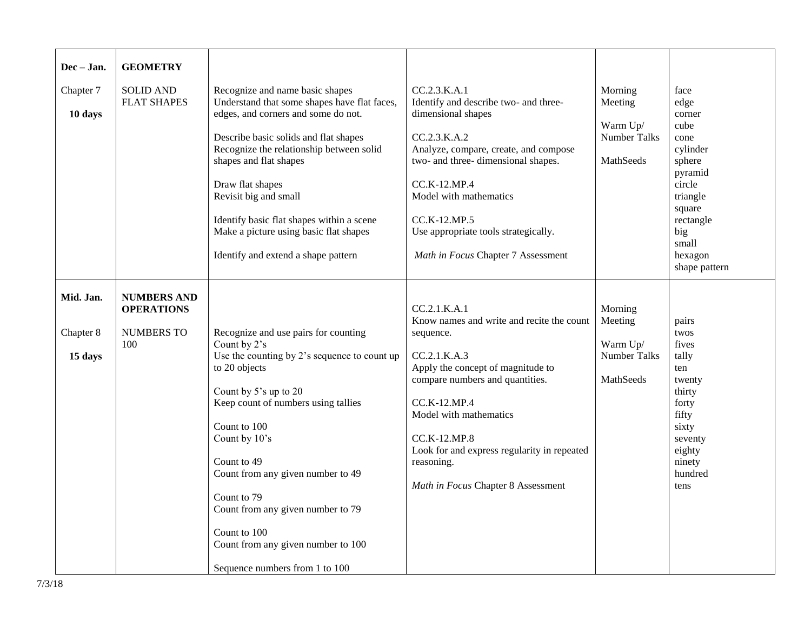| Dec - Jan.<br>Chapter 7<br>10 days | <b>GEOMETRY</b><br><b>SOLID AND</b><br><b>FLAT SHAPES</b>           | Recognize and name basic shapes<br>Understand that some shapes have flat faces,<br>edges, and corners and some do not.<br>Describe basic solids and flat shapes<br>Recognize the relationship between solid<br>shapes and flat shapes<br>Draw flat shapes<br>Revisit big and small<br>Identify basic flat shapes within a scene<br>Make a picture using basic flat shapes<br>Identify and extend a shape pattern       | CC.2.3.K.A.1<br>Identify and describe two- and three-<br>dimensional shapes<br>CC.2.3.K.A.2<br>Analyze, compare, create, and compose<br>two- and three- dimensional shapes.<br>CC.K-12.MP.4<br>Model with mathematics<br>CC.K-12.MP.5<br>Use appropriate tools strategically.<br>Math in Focus Chapter 7 Assessment           | Morning<br>Meeting<br>Warm Up/<br>Number Talks<br>MathSeeds        | face<br>edge<br>corner<br>cube<br>cone<br>cylinder<br>sphere<br>pyramid<br>circle<br>triangle<br>square<br>rectangle<br>big<br>small<br>hexagon<br>shape pattern |
|------------------------------------|---------------------------------------------------------------------|------------------------------------------------------------------------------------------------------------------------------------------------------------------------------------------------------------------------------------------------------------------------------------------------------------------------------------------------------------------------------------------------------------------------|-------------------------------------------------------------------------------------------------------------------------------------------------------------------------------------------------------------------------------------------------------------------------------------------------------------------------------|--------------------------------------------------------------------|------------------------------------------------------------------------------------------------------------------------------------------------------------------|
| Mid. Jan.<br>Chapter 8<br>15 days  | <b>NUMBERS AND</b><br><b>OPERATIONS</b><br><b>NUMBERS TO</b><br>100 | Recognize and use pairs for counting<br>Count by 2's<br>Use the counting by 2's sequence to count up<br>to 20 objects<br>Count by 5's up to 20<br>Keep count of numbers using tallies<br>Count to 100<br>Count by 10's<br>Count to 49<br>Count from any given number to 49<br>Count to 79<br>Count from any given number to 79<br>Count to 100<br>Count from any given number to 100<br>Sequence numbers from 1 to 100 | CC.2.1.K.A.1<br>Know names and write and recite the count<br>sequence.<br>CC.2.1.K.A.3<br>Apply the concept of magnitude to<br>compare numbers and quantities.<br>CC.K-12.MP.4<br>Model with mathematics<br>$CC.K-12.MP.8$<br>Look for and express regularity in repeated<br>reasoning.<br>Math in Focus Chapter 8 Assessment | Morning<br>Meeting<br>Warm Up/<br><b>Number Talks</b><br>MathSeeds | pairs<br>twos<br>fives<br>tally<br>ten<br>twenty<br>thirty<br>forty<br>fifty<br>sixty<br>seventy<br>eighty<br>ninety<br>hundred<br>tens                          |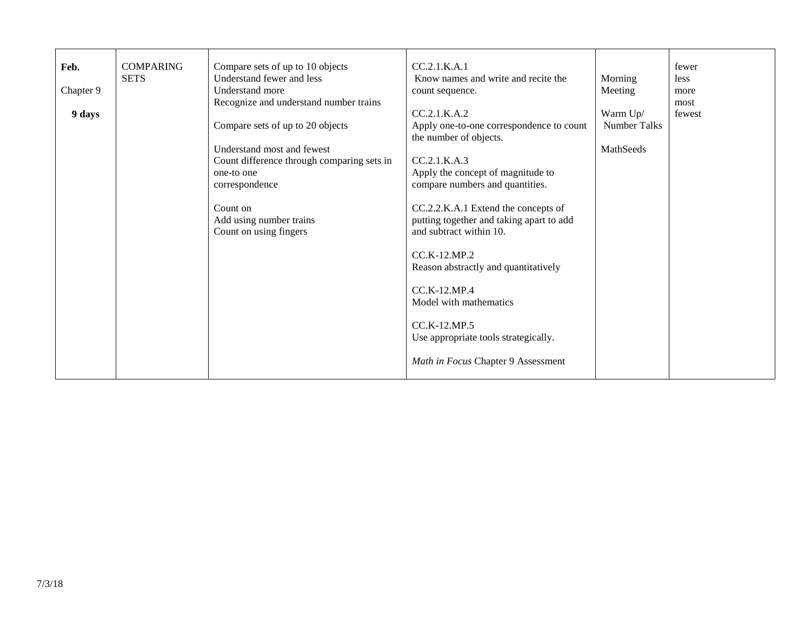| Feb.      | <b>COMPARING</b><br><b>SETS</b> | Compare sets of up to 10 objects<br>Understand fewer and less | CC.2.1.K.A.1<br>Know names and write and recite the                                                        | Morning             | fewer<br>less  |
|-----------|---------------------------------|---------------------------------------------------------------|------------------------------------------------------------------------------------------------------------|---------------------|----------------|
| Chapter 9 |                                 | Understand more                                               | count sequence.                                                                                            | Meeting             | more           |
| 9 days    |                                 | Recognize and understand number trains                        | CC.2.1.K.A.2                                                                                               | Warm Up/            | most<br>fewest |
|           |                                 | Compare sets of up to 20 objects                              | Apply one-to-one correspondence to count<br>the number of objects.                                         | <b>Number Talks</b> |                |
|           |                                 | Understand most and fewest                                    |                                                                                                            | MathSeeds           |                |
|           |                                 | Count difference through comparing sets in<br>one-to one      | CC.2.1.K.A.3                                                                                               |                     |                |
|           |                                 | correspondence                                                | Apply the concept of magnitude to<br>compare numbers and quantities.                                       |                     |                |
|           |                                 | Count on<br>Add using number trains<br>Count on using fingers | CC.2.2.K.A.1 Extend the concepts of<br>putting together and taking apart to add<br>and subtract within 10. |                     |                |
|           |                                 |                                                               | $CC.K-12.MP.2$<br>Reason abstractly and quantitatively                                                     |                     |                |
|           |                                 |                                                               | $CC$ .K-12.MP.4<br>Model with mathematics                                                                  |                     |                |
|           |                                 |                                                               | $CC.K-12.MP.5$<br>Use appropriate tools strategically.                                                     |                     |                |
|           |                                 |                                                               | Math in Focus Chapter 9 Assessment                                                                         |                     |                |
|           |                                 |                                                               |                                                                                                            |                     |                |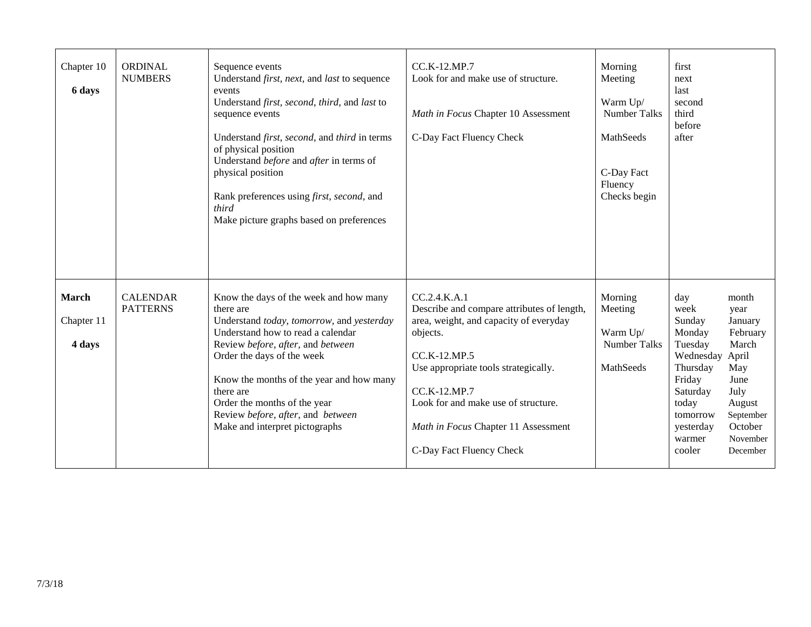| Chapter 10<br>6 days          | <b>ORDINAL</b><br><b>NUMBERS</b>   | Sequence events<br>Understand <i>first</i> , <i>next</i> , and <i>last</i> to sequence<br>events<br>Understand first, second, third, and last to<br>sequence events<br>Understand <i>first</i> , <i>second</i> , and <i>third</i> in terms<br>of physical position<br>Understand before and after in terms of<br>physical position<br>Rank preferences using first, second, and<br>third<br>Make picture graphs based on preferences | CC.K-12.MP.7<br>Look for and make use of structure.<br>Math in Focus Chapter 10 Assessment<br>C-Day Fact Fluency Check                                                                                                                                                                             | Morning<br>Meeting<br>Warm Up/<br>Number Talks<br>MathSeeds<br>C-Day Fact<br>Fluency<br>Checks begin | first<br>next<br>last<br>second<br>third<br>before<br>after                                                                                                                                                                                                                             |
|-------------------------------|------------------------------------|--------------------------------------------------------------------------------------------------------------------------------------------------------------------------------------------------------------------------------------------------------------------------------------------------------------------------------------------------------------------------------------------------------------------------------------|----------------------------------------------------------------------------------------------------------------------------------------------------------------------------------------------------------------------------------------------------------------------------------------------------|------------------------------------------------------------------------------------------------------|-----------------------------------------------------------------------------------------------------------------------------------------------------------------------------------------------------------------------------------------------------------------------------------------|
| March<br>Chapter 11<br>4 days | <b>CALENDAR</b><br><b>PATTERNS</b> | Know the days of the week and how many<br>there are<br>Understand today, tomorrow, and yesterday<br>Understand how to read a calendar<br>Review before, after, and between<br>Order the days of the week<br>Know the months of the year and how many<br>there are<br>Order the months of the year<br>Review before, after, and between<br>Make and interpret pictographs                                                             | CC.2.4.K.A.1<br>Describe and compare attributes of length,<br>area, weight, and capacity of everyday<br>objects.<br>CC.K-12.MP.5<br>Use appropriate tools strategically.<br>CC.K-12.MP.7<br>Look for and make use of structure.<br>Math in Focus Chapter 11 Assessment<br>C-Day Fact Fluency Check | Morning<br>Meeting<br>Warm Up/<br><b>Number Talks</b><br>MathSeeds                                   | day<br>month<br>week<br>year<br>Sunday<br>January<br>February<br>Monday<br>March<br>Tuesday<br>Wednesday April<br>Thursday<br>May<br>Friday<br>June<br>Saturday<br>July<br>today<br>August<br>September<br>tomorrow<br>October<br>yesterday<br>November<br>warmer<br>cooler<br>December |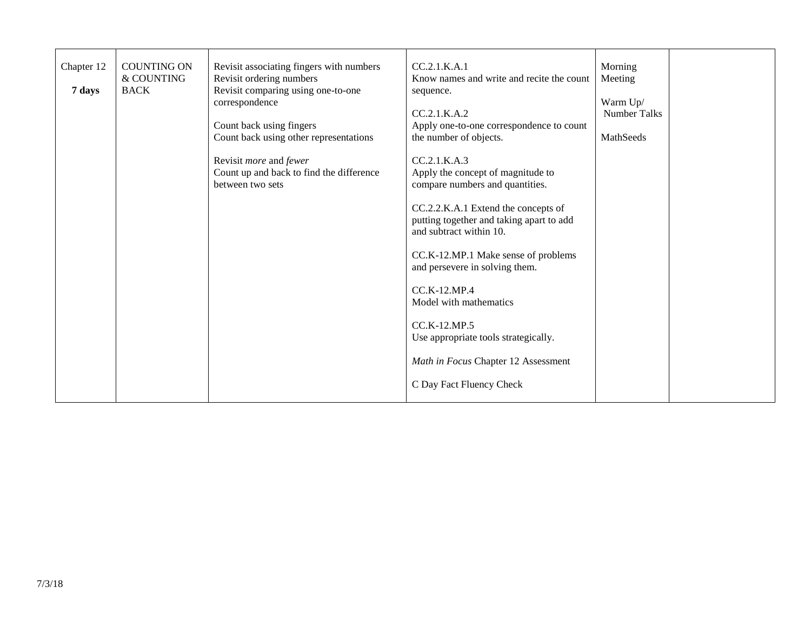| <b>COUNTING ON</b><br>Revisit associating fingers with numbers<br>Chapter 12<br>Revisit ordering numbers<br>& COUNTING<br>Revisit comparing using one-to-one<br><b>BACK</b><br>7 days<br>correspondence<br>Count back using fingers<br>Count back using other representations<br>Revisit more and fewer<br>Count up and back to find the difference<br>between two sets | CC.2.1.K.A.1<br>Know names and write and recite the count<br>sequence.<br>CC.2.1.K.A.2<br>Apply one-to-one correspondence to count<br>the number of objects.<br>CC.2.1.K.A.3<br>Apply the concept of magnitude to<br>compare numbers and quantities.<br>CC.2.2.K.A.1 Extend the concepts of<br>putting together and taking apart to add<br>and subtract within 10.<br>CC.K-12.MP.1 Make sense of problems<br>and persevere in solving them.<br>CC.K-12.MP.4<br>Model with mathematics<br>CC.K-12.MP.5<br>Use appropriate tools strategically.<br>Math in Focus Chapter 12 Assessment<br>C Day Fact Fluency Check | Morning<br>Meeting<br>Warm Up/<br><b>Number Talks</b><br>MathSeeds |
|-------------------------------------------------------------------------------------------------------------------------------------------------------------------------------------------------------------------------------------------------------------------------------------------------------------------------------------------------------------------------|------------------------------------------------------------------------------------------------------------------------------------------------------------------------------------------------------------------------------------------------------------------------------------------------------------------------------------------------------------------------------------------------------------------------------------------------------------------------------------------------------------------------------------------------------------------------------------------------------------------|--------------------------------------------------------------------|
|-------------------------------------------------------------------------------------------------------------------------------------------------------------------------------------------------------------------------------------------------------------------------------------------------------------------------------------------------------------------------|------------------------------------------------------------------------------------------------------------------------------------------------------------------------------------------------------------------------------------------------------------------------------------------------------------------------------------------------------------------------------------------------------------------------------------------------------------------------------------------------------------------------------------------------------------------------------------------------------------------|--------------------------------------------------------------------|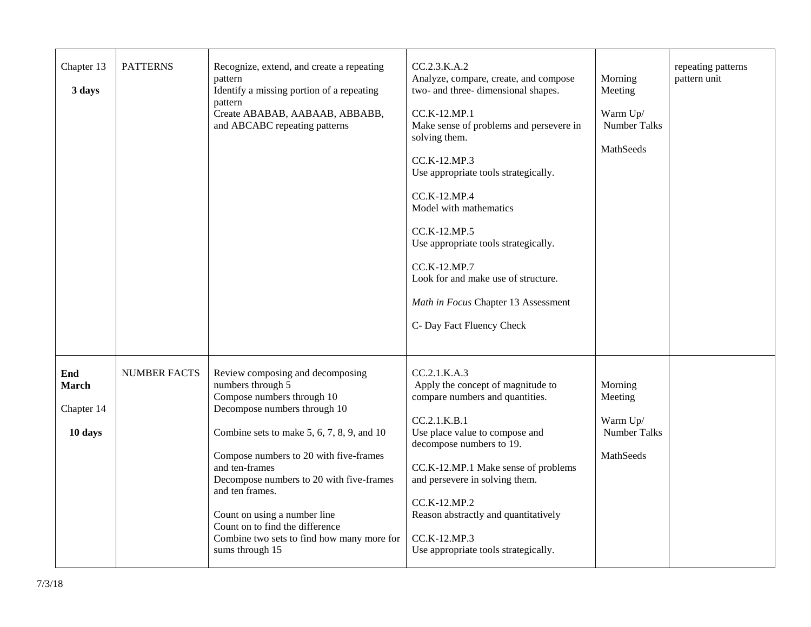| Chapter 13<br>3 days                         | <b>PATTERNS</b>     | Recognize, extend, and create a repeating<br>pattern<br>Identify a missing portion of a repeating<br>pattern<br>Create ABABAB, AABAAB, ABBABB,<br>and ABCABC repeating patterns                                                                                                                                                                                                                                                       | CC.2.3.K.A.2<br>Analyze, compare, create, and compose<br>two- and three- dimensional shapes.<br>CC.K-12.MP.1<br>Make sense of problems and persevere in<br>solving them.<br>CC.K-12.MP.3<br>Use appropriate tools strategically.<br>CC.K-12.MP.4<br>Model with mathematics<br>CC.K-12.MP.5<br>Use appropriate tools strategically.<br>CC.K-12.MP.7<br>Look for and make use of structure.<br>Math in Focus Chapter 13 Assessment<br>C- Day Fact Fluency Check | Morning<br>Meeting<br>Warm Up/<br><b>Number Talks</b><br>MathSeeds        | repeating patterns<br>pattern unit |
|----------------------------------------------|---------------------|---------------------------------------------------------------------------------------------------------------------------------------------------------------------------------------------------------------------------------------------------------------------------------------------------------------------------------------------------------------------------------------------------------------------------------------|---------------------------------------------------------------------------------------------------------------------------------------------------------------------------------------------------------------------------------------------------------------------------------------------------------------------------------------------------------------------------------------------------------------------------------------------------------------|---------------------------------------------------------------------------|------------------------------------|
| End<br><b>March</b><br>Chapter 14<br>10 days | <b>NUMBER FACTS</b> | Review composing and decomposing<br>numbers through 5<br>Compose numbers through 10<br>Decompose numbers through 10<br>Combine sets to make $5, 6, 7, 8, 9$ , and $10$<br>Compose numbers to 20 with five-frames<br>and ten-frames<br>Decompose numbers to 20 with five-frames<br>and ten frames.<br>Count on using a number line<br>Count on to find the difference<br>Combine two sets to find how many more for<br>sums through 15 | CC.2.1.K.A.3<br>Apply the concept of magnitude to<br>compare numbers and quantities.<br>CC.2.1.K.B.1<br>Use place value to compose and<br>decompose numbers to 19.<br>CC.K-12.MP.1 Make sense of problems<br>and persevere in solving them.<br>CC.K-12.MP.2<br>Reason abstractly and quantitatively<br>CC.K-12.MP.3<br>Use appropriate tools strategically.                                                                                                   | Morning<br>Meeting<br>Warm Up/<br><b>Number Talks</b><br><b>MathSeeds</b> |                                    |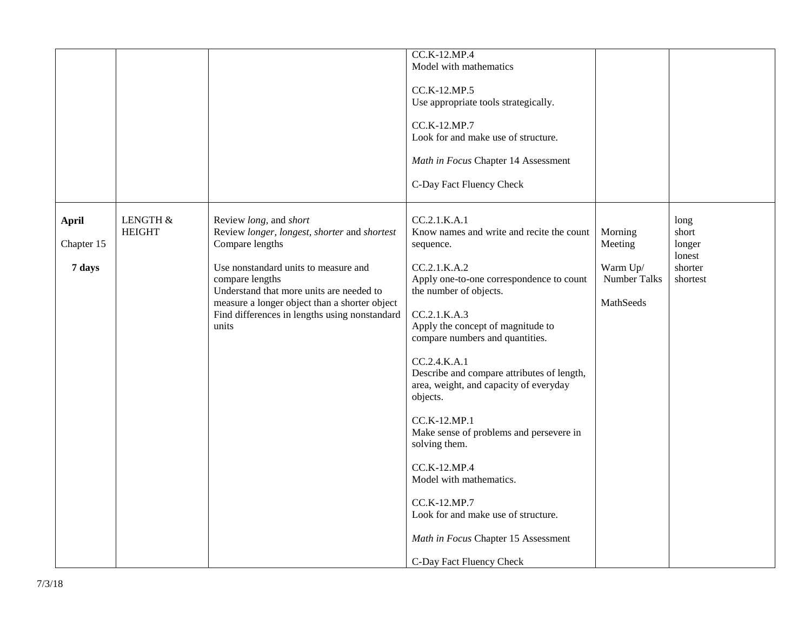|                                      |                           |                                                                                                                                                                                                                                                                                                             | CC.K-12.MP.4<br>Model with mathematics<br>CC.K-12.MP.5<br>Use appropriate tools strategically.<br>CC.K-12.MP.7<br>Look for and make use of structure.<br>Math in Focus Chapter 14 Assessment<br>C-Day Fact Fluency Check                                                                                                                                                                                                                                                                                                                                                                                                  |                                                             |                                                          |
|--------------------------------------|---------------------------|-------------------------------------------------------------------------------------------------------------------------------------------------------------------------------------------------------------------------------------------------------------------------------------------------------------|---------------------------------------------------------------------------------------------------------------------------------------------------------------------------------------------------------------------------------------------------------------------------------------------------------------------------------------------------------------------------------------------------------------------------------------------------------------------------------------------------------------------------------------------------------------------------------------------------------------------------|-------------------------------------------------------------|----------------------------------------------------------|
| <b>April</b><br>Chapter 15<br>7 days | LENGTH &<br><b>HEIGHT</b> | Review long, and short<br>Review longer, longest, shorter and shortest<br>Compare lengths<br>Use nonstandard units to measure and<br>compare lengths<br>Understand that more units are needed to<br>measure a longer object than a shorter object<br>Find differences in lengths using nonstandard<br>units | CC.2.1.K.A.1<br>Know names and write and recite the count<br>sequence.<br>CC.2.1.K.A.2<br>Apply one-to-one correspondence to count<br>the number of objects.<br>CC.2.1.K.A.3<br>Apply the concept of magnitude to<br>compare numbers and quantities.<br>CC.2.4.K.A.1<br>Describe and compare attributes of length,<br>area, weight, and capacity of everyday<br>objects.<br>CC.K-12.MP.1<br>Make sense of problems and persevere in<br>solving them.<br>CC.K-12.MP.4<br>Model with mathematics.<br>CC.K-12.MP.7<br>Look for and make use of structure.<br>Math in Focus Chapter 15 Assessment<br>C-Day Fact Fluency Check | Morning<br>Meeting<br>Warm Up/<br>Number Talks<br>MathSeeds | long<br>short<br>longer<br>lonest<br>shorter<br>shortest |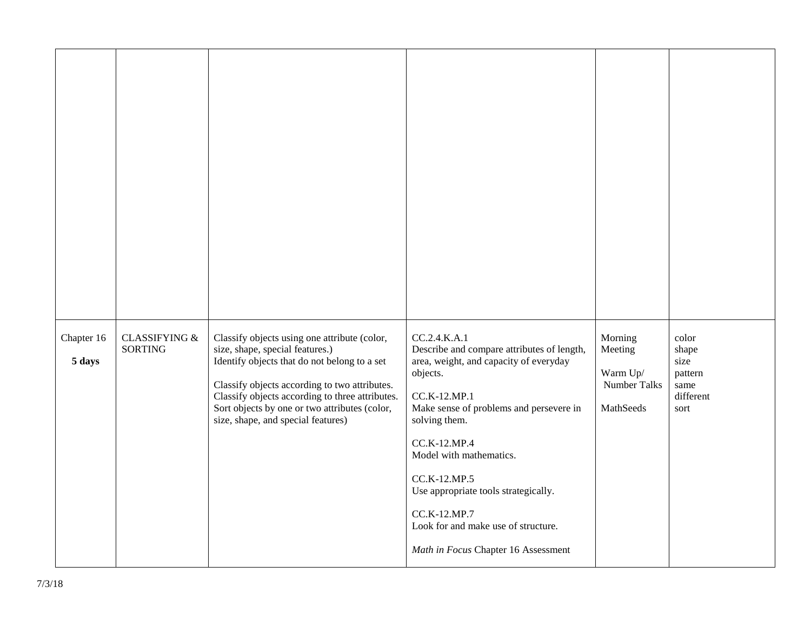| Chapter 16<br>5 days | <b>CLASSIFYING &amp;</b><br><b>SORTING</b> | Classify objects using one attribute (color,<br>size, shape, special features.)<br>Identify objects that do not belong to a set<br>Classify objects according to two attributes.<br>Classify objects according to three attributes.<br>Sort objects by one or two attributes (color,<br>size, shape, and special features) | CC.2.4.K.A.1<br>Describe and compare attributes of length,<br>area, weight, and capacity of everyday<br>objects.<br>CC.K-12.MP.1<br>Make sense of problems and persevere in<br>solving them.<br>CC.K-12.MP.4<br>Model with mathematics.<br>CC.K-12.MP.5<br>Use appropriate tools strategically.<br>CC.K-12.MP.7<br>Look for and make use of structure.<br>Math in Focus Chapter 16 Assessment | Morning<br>Meeting<br>Warm Up/<br>Number Talks<br>MathSeeds | color<br>shape<br>size<br>pattern<br>same<br>different<br>sort |
|----------------------|--------------------------------------------|----------------------------------------------------------------------------------------------------------------------------------------------------------------------------------------------------------------------------------------------------------------------------------------------------------------------------|-----------------------------------------------------------------------------------------------------------------------------------------------------------------------------------------------------------------------------------------------------------------------------------------------------------------------------------------------------------------------------------------------|-------------------------------------------------------------|----------------------------------------------------------------|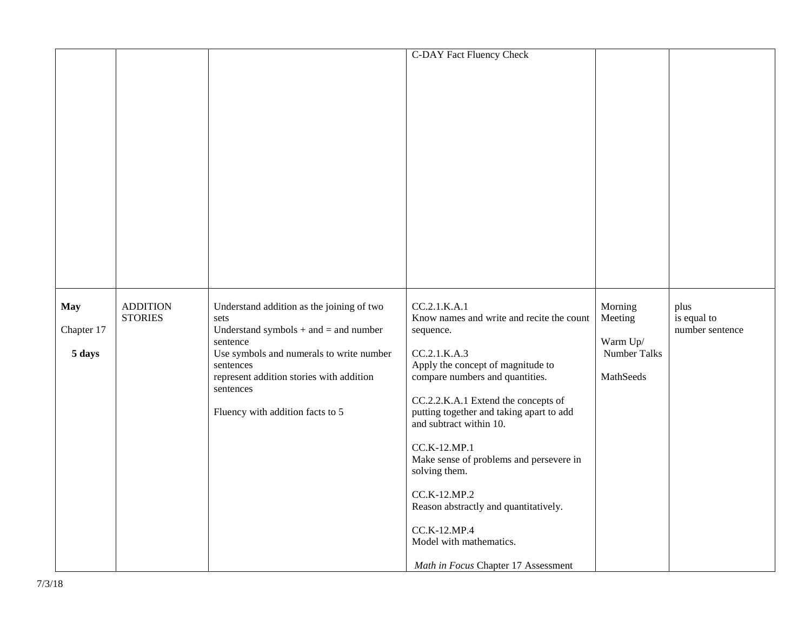|                                    |                                   |                                                                                                                                                                                                                                                                  | <b>C-DAY Fact Fluency Check</b>                                                                                                                                                                                                                                                                                                                                                                                                                                                                     |                                                             |                                        |
|------------------------------------|-----------------------------------|------------------------------------------------------------------------------------------------------------------------------------------------------------------------------------------------------------------------------------------------------------------|-----------------------------------------------------------------------------------------------------------------------------------------------------------------------------------------------------------------------------------------------------------------------------------------------------------------------------------------------------------------------------------------------------------------------------------------------------------------------------------------------------|-------------------------------------------------------------|----------------------------------------|
| <b>May</b><br>Chapter 17<br>5 days | <b>ADDITION</b><br><b>STORIES</b> | Understand addition as the joining of two<br>sets<br>Understand symbols $+$ and $=$ and number<br>sentence<br>Use symbols and numerals to write number<br>sentences<br>represent addition stories with addition<br>sentences<br>Fluency with addition facts to 5 | CC.2.1.K.A.1<br>Know names and write and recite the count<br>sequence.<br>CC.2.1.K.A.3<br>Apply the concept of magnitude to<br>compare numbers and quantities.<br>CC.2.2.K.A.1 Extend the concepts of<br>putting together and taking apart to add<br>and subtract within 10.<br>CC.K-12.MP.1<br>Make sense of problems and persevere in<br>solving them.<br>CC.K-12.MP.2<br>Reason abstractly and quantitatively.<br>CC.K-12.MP.4<br>Model with mathematics.<br>Math in Focus Chapter 17 Assessment | Morning<br>Meeting<br>Warm Up/<br>Number Talks<br>MathSeeds | plus<br>is equal to<br>number sentence |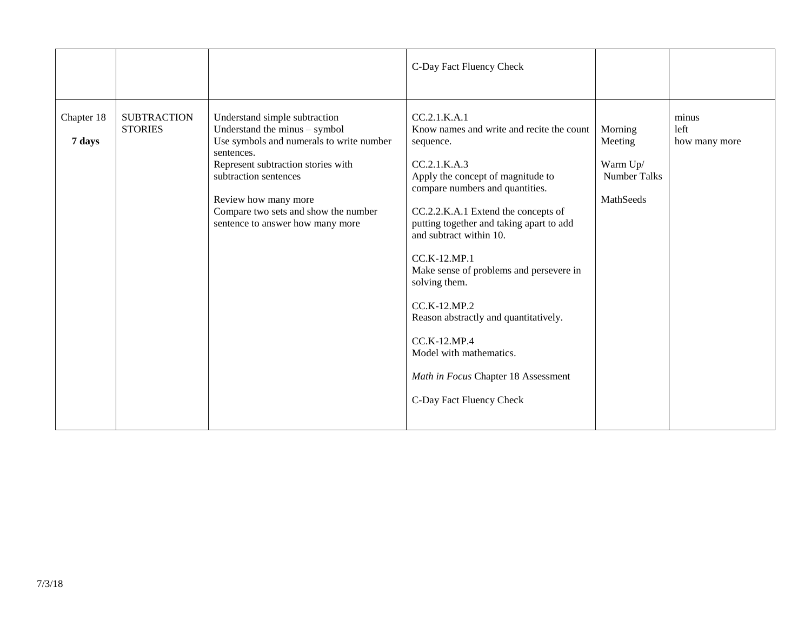|                      |                                      |                                                                                                                                                                                                                                                                                             | C-Day Fact Fluency Check                                                                                                                                                                                                                                                                                                                                                                                                                                                                                                        |                                                                    |                                |
|----------------------|--------------------------------------|---------------------------------------------------------------------------------------------------------------------------------------------------------------------------------------------------------------------------------------------------------------------------------------------|---------------------------------------------------------------------------------------------------------------------------------------------------------------------------------------------------------------------------------------------------------------------------------------------------------------------------------------------------------------------------------------------------------------------------------------------------------------------------------------------------------------------------------|--------------------------------------------------------------------|--------------------------------|
| Chapter 18<br>7 days | <b>SUBTRACTION</b><br><b>STORIES</b> | Understand simple subtraction<br>Understand the minus - symbol<br>Use symbols and numerals to write number<br>sentences.<br>Represent subtraction stories with<br>subtraction sentences<br>Review how many more<br>Compare two sets and show the number<br>sentence to answer how many more | CC.2.1.K.A.1<br>Know names and write and recite the count<br>sequence.<br>CC.2.1.K.A.3<br>Apply the concept of magnitude to<br>compare numbers and quantities.<br>CC.2.2.K.A.1 Extend the concepts of<br>putting together and taking apart to add<br>and subtract within 10.<br>CC.K-12.MP.1<br>Make sense of problems and persevere in<br>solving them.<br>CC.K-12.MP.2<br>Reason abstractly and quantitatively.<br>CC.K-12.MP.4<br>Model with mathematics.<br>Math in Focus Chapter 18 Assessment<br>C-Day Fact Fluency Check | Morning<br>Meeting<br>Warm Up/<br><b>Number Talks</b><br>MathSeeds | minus<br>left<br>how many more |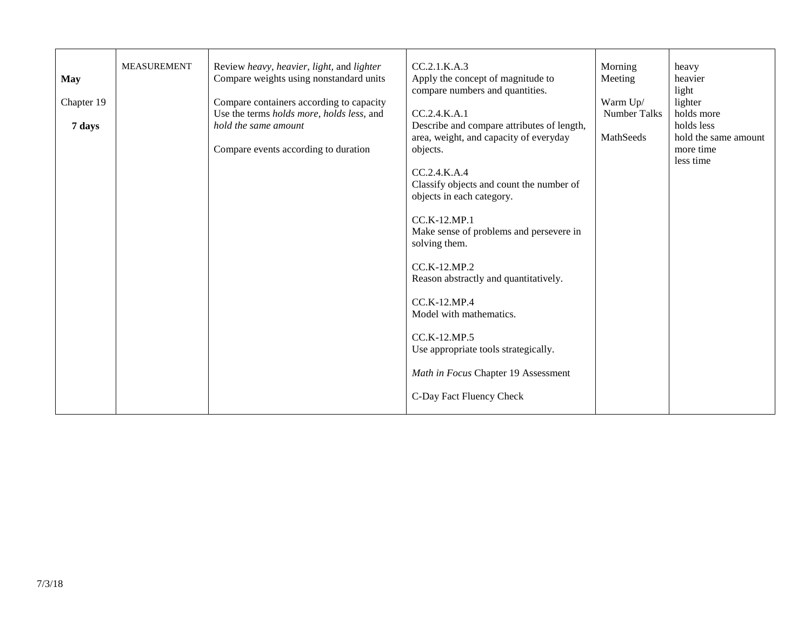| <b>May</b><br>Chapter 19 | <b>MEASUREMENT</b> | Review heavy, heavier, light, and lighter<br>Compare weights using nonstandard units<br>Compare containers according to capacity | CC.2.1.K.A.3<br>Apply the concept of magnitude to<br>compare numbers and quantities.                                                                                                                                                                                                                                                                                     | Morning<br>Meeting<br>Warm Up/ | heavy<br>heavier<br>light<br>lighter |
|--------------------------|--------------------|----------------------------------------------------------------------------------------------------------------------------------|--------------------------------------------------------------------------------------------------------------------------------------------------------------------------------------------------------------------------------------------------------------------------------------------------------------------------------------------------------------------------|--------------------------------|--------------------------------------|
|                          |                    | Use the terms holds more, holds less, and                                                                                        | CC.2.4.K.A.1                                                                                                                                                                                                                                                                                                                                                             | <b>Number Talks</b>            | holds more                           |
| 7 days                   |                    | hold the same amount                                                                                                             | Describe and compare attributes of length,<br>area, weight, and capacity of everyday                                                                                                                                                                                                                                                                                     | MathSeeds                      | holds less<br>hold the same amount   |
|                          |                    | Compare events according to duration                                                                                             | objects.                                                                                                                                                                                                                                                                                                                                                                 |                                | more time                            |
|                          |                    |                                                                                                                                  | CC.2.4.K.A.4<br>Classify objects and count the number of<br>objects in each category.<br>$CC.K-12.MP.1$<br>Make sense of problems and persevere in<br>solving them.<br>CC.K-12.MP.2<br>Reason abstractly and quantitatively.<br>$CC.K-12.MP.4$<br>Model with mathematics.<br>CC.K-12.MP.5<br>Use appropriate tools strategically.<br>Math in Focus Chapter 19 Assessment |                                | less time                            |
|                          |                    |                                                                                                                                  | C-Day Fact Fluency Check                                                                                                                                                                                                                                                                                                                                                 |                                |                                      |